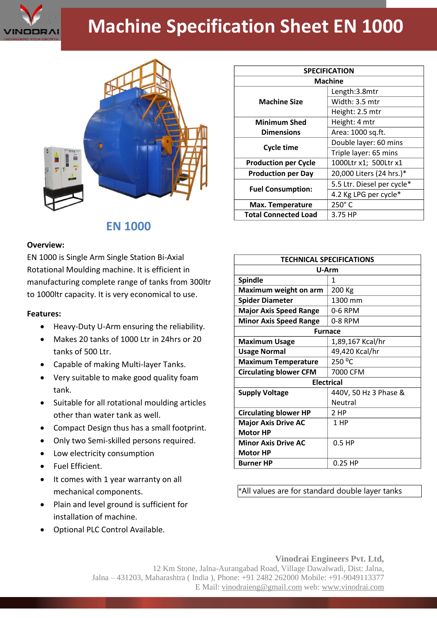

## **Machine Specification Sheet EN 1000**



## **EN 1000**

## **Overview:**

EN 1000 is Single Arm Single Station Bi-Axial Rotational Moulding machine. It is efficient in manufacturing complete range of tanks from 300ltr to 1000ltr capacity. It is very economical to use.

## **Features:**

- Heavy-Duty U-Arm ensuring the reliability.
- Makes 20 tanks of 1000 Ltr in 24hrs or 20 tanks of 500 Ltr.
- Capable of making Multi-layer Tanks.
- Very suitable to make good quality foam tank.
- Suitable for all rotational moulding articles other than water tank as well.
- Compact Design thus has a small footprint.
- Only two Semi-skilled persons required.
- Low electricity consumption
- Fuel Efficient.
- It comes with 1 year warranty on all mechanical components.
- Plain and level ground is sufficient for installation of machine.
- Optional PLC Control Available.

| <b>SPECIFICATION</b>        |                            |
|-----------------------------|----------------------------|
| <b>Machine</b>              |                            |
| <b>Machine Size</b>         | Length:3.8mtr              |
|                             | Width: 3.5 mtr             |
|                             | Height: 2.5 mtr            |
| <b>Minimum Shed</b>         | Height: 4 mtr              |
| <b>Dimensions</b>           | Area: 1000 sq.ft.          |
| <b>Cycle time</b>           | Double layer: 60 mins      |
|                             | Triple layer: 65 mins      |
| <b>Production per Cycle</b> | 1000Ltr x1; 500Ltr x1      |
| <b>Production per Day</b>   | 20,000 Liters (24 hrs.)*   |
| <b>Fuel Consumption:</b>    | 5.5 Ltr. Diesel per cycle* |
|                             | 4.2 Kg LPG per cycle*      |
| Max. Temperature            | $250^\circ$ C              |
| <b>Total Connected Load</b> | 3.75 HP                    |

| <b>TECHNICAL SPECIFICATIONS</b> |                       |
|---------------------------------|-----------------------|
| U-Arm                           |                       |
| <b>Spindle</b>                  | 1                     |
| Maximum weight on arm           | 200 Kg                |
| <b>Spider Diameter</b>          | 1300 mm               |
| <b>Major Axis Speed Range</b>   | 0-6 RPM               |
| <b>Minor Axis Speed Range</b>   | 0-8 RPM               |
| <b>Furnace</b>                  |                       |
| <b>Maximum Usage</b>            | 1,89,167 Kcal/hr      |
| <b>Usage Normal</b>             | 49,420 Kcal/hr        |
| <b>Maximum Temperature</b>      | 250 °C                |
| <b>Circulating blower CFM</b>   | 7000 CFM              |
| <b>Electrical</b>               |                       |
| <b>Supply Voltage</b>           | 440V, 50 Hz 3 Phase & |
|                                 | Neutral               |
| <b>Circulating blower HP</b>    | 2 HP                  |
| <b>Major Axis Drive AC</b>      | 1 HP                  |
| <b>Motor HP</b>                 |                       |
| <b>Minor Axis Drive AC</b>      | $0.5$ HP              |
| <b>Motor HP</b>                 |                       |
| <b>Burner HP</b>                | $0.25$ HP             |

\*All values are for standard double layer tanks

**Vinodrai Engineers Pvt. Ltd,** 12 Km Stone, Jalna-Aurangabad Road, Village Dawalwadi, Dist: Jalna, Jalna – 431203, Maharashtra ( India ), Phone: +91 2482 262000 Mobile: +91-9049113377 E Mail: vinodraieng@gmail.com web: www.vinodrai.com